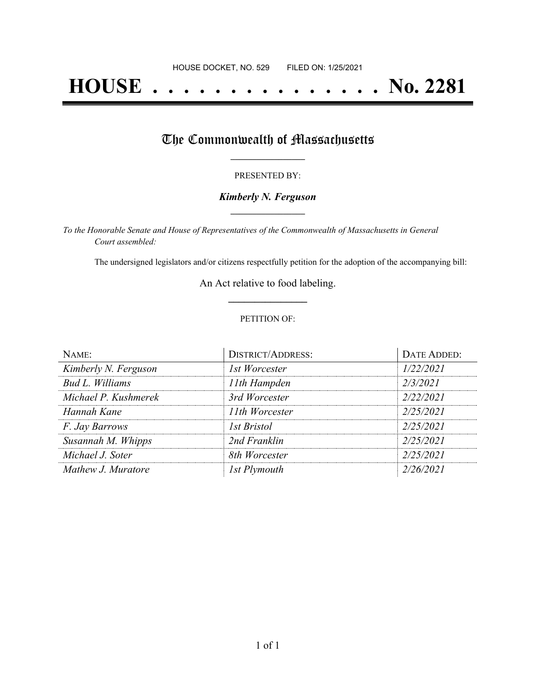# **HOUSE . . . . . . . . . . . . . . . No. 2281**

## The Commonwealth of Massachusetts

#### PRESENTED BY:

#### *Kimberly N. Ferguson* **\_\_\_\_\_\_\_\_\_\_\_\_\_\_\_\_\_**

*To the Honorable Senate and House of Representatives of the Commonwealth of Massachusetts in General Court assembled:*

The undersigned legislators and/or citizens respectfully petition for the adoption of the accompanying bill:

An Act relative to food labeling. **\_\_\_\_\_\_\_\_\_\_\_\_\_\_\_**

#### PETITION OF:

| NAME:                | <b>DISTRICT/ADDRESS:</b> | DATE ADDED: |
|----------------------|--------------------------|-------------|
| Kimberly N. Ferguson | 1st Worcester            | 1/22/2021   |
| Bud L. Williams      | 11th Hampden             | 2/3/2021    |
| Michael P. Kushmerek | 3rd Worcester            | 2/22/2021   |
| Hannah Kane          | 11th Worcester           | 2/25/2021   |
| F. Jay Barrows       | <b>1st Bristol</b>       | 2/25/2021   |
| Susannah M. Whipps   | 2nd Franklin             | 2/25/2021   |
| Michael J. Soter     | 8th Worcester            | 2/25/2021   |
| Mathew J. Muratore   | 1st Plymouth             | 2/26/2021   |